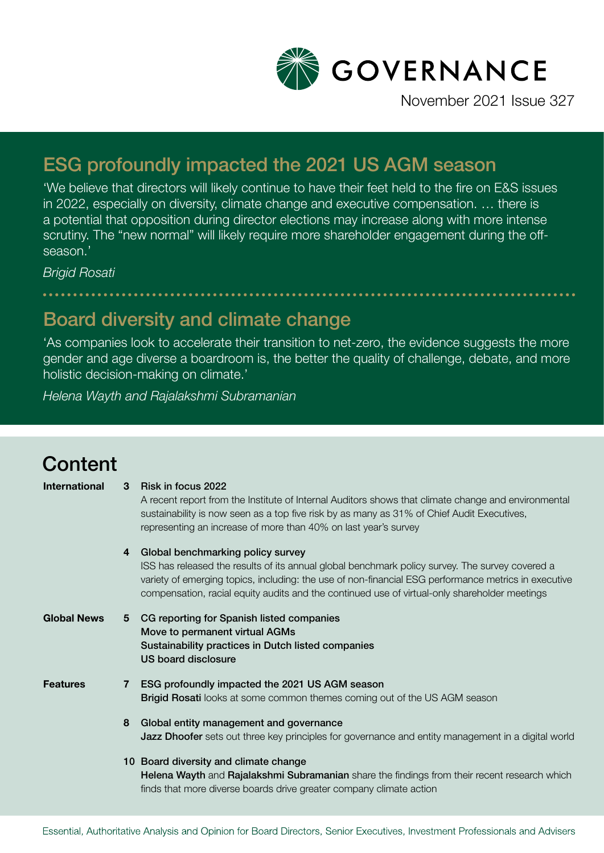

November 2021 Issue 327

## ESG profoundly impacted the 2021 US AGM season

'We believe that directors will likely continue to have their feet held to the fire on E&S issues in 2022, especially on diversity, climate change and executive compensation. … there is a potential that opposition during director elections may increase along with more intense scrutiny. The "new normal" will likely require more shareholder engagement during the offseason.'

*Brigid Rosati*

## Board diversity and climate change

'As companies look to accelerate their transition to net-zero, the evidence suggests the more gender and age diverse a boardroom is, the better the quality of challenge, debate, and more holistic decision-making on climate.'

*Helena Wayth and Rajalakshmi Subramanian*

## **Content**

| <b>International</b> | 3 | Risk in focus 2022<br>A recent report from the Institute of Internal Auditors shows that climate change and environmental<br>sustainability is now seen as a top five risk by as many as 31% of Chief Audit Executives,<br>representing an increase of more than 40% on last year's survey                                                    |
|----------------------|---|-----------------------------------------------------------------------------------------------------------------------------------------------------------------------------------------------------------------------------------------------------------------------------------------------------------------------------------------------|
|                      | 4 | Global benchmarking policy survey<br>ISS has released the results of its annual global benchmark policy survey. The survey covered a<br>variety of emerging topics, including: the use of non-financial ESG performance metrics in executive<br>compensation, racial equity audits and the continued use of virtual-only shareholder meetings |
| <b>Global News</b>   | 5 | CG reporting for Spanish listed companies<br>Move to permanent virtual AGMs<br>Sustainability practices in Dutch listed companies<br><b>US board disclosure</b>                                                                                                                                                                               |
| <b>Features</b>      | 7 | ESG profoundly impacted the 2021 US AGM season<br>Brigid Rosati looks at some common themes coming out of the US AGM season                                                                                                                                                                                                                   |
|                      | 8 | Global entity management and governance<br><b>Jazz Dhoofer</b> sets out three key principles for governance and entity management in a digital world                                                                                                                                                                                          |
|                      |   | 10 Board diversity and climate change<br>Helena Wayth and Rajalakshmi Subramanian share the findings from their recent research which<br>finds that more diverse boards drive greater company climate action                                                                                                                                  |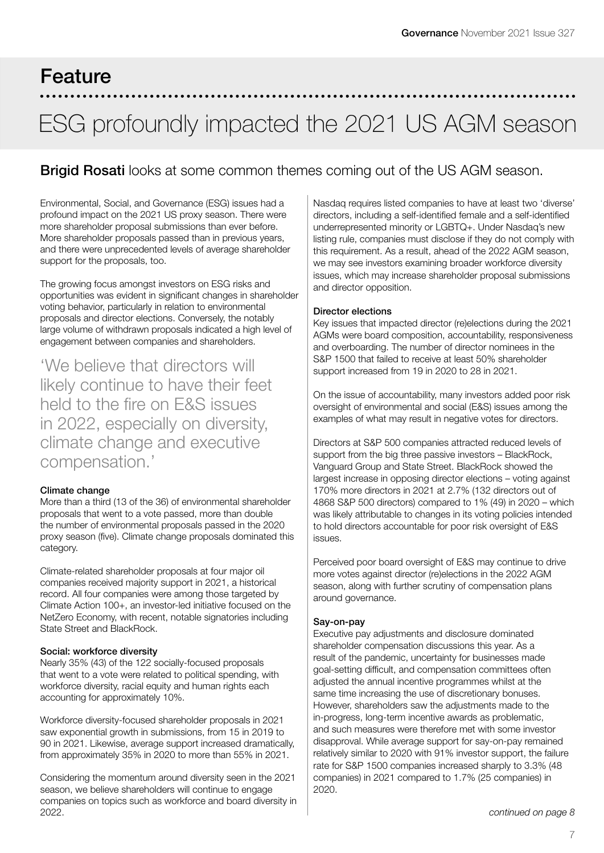## Feature

## ESG profoundly impacted the 2021 US AGM season

### **Brigid Rosati** looks at some common themes coming out of the US AGM season.

Environmental, Social, and Governance (ESG) issues had a profound impact on the 2021 US proxy season. There were more shareholder proposal submissions than ever before. More shareholder proposals passed than in previous years, and there were unprecedented levels of average shareholder support for the proposals, too.

The growing focus amongst investors on ESG risks and opportunities was evident in significant changes in shareholder voting behavior, particularly in relation to environmental proposals and director elections. Conversely, the notably large volume of withdrawn proposals indicated a high level of engagement between companies and shareholders.

'We believe that directors will likely continue to have their feet held to the fire on E&S issues in 2022, especially on diversity, climate change and executive compensation.'

### Climate change

More than a third (13 of the 36) of environmental shareholder proposals that went to a vote passed, more than double the number of environmental proposals passed in the 2020 proxy season (five). Climate change proposals dominated this category.

Climate-related shareholder proposals at four major oil companies received majority support in 2021, a historical record. All four companies were among those targeted by Climate Action 100+, an investor-led initiative focused on the NetZero Economy, with recent, notable signatories including State Street and BlackRock.

### Social: workforce diversity

Nearly 35% (43) of the 122 socially-focused proposals that went to a vote were related to political spending, with workforce diversity, racial equity and human rights each accounting for approximately 10%.

Workforce diversity-focused shareholder proposals in 2021 saw exponential growth in submissions, from 15 in 2019 to 90 in 2021. Likewise, average support increased dramatically, from approximately 35% in 2020 to more than 55% in 2021.

Considering the momentum around diversity seen in the 2021 season, we believe shareholders will continue to engage companies on topics such as workforce and board diversity in 2022.

Nasdaq requires listed companies to have at least two 'diverse' directors, including a self-identified female and a self-identified underrepresented minority or LGBTQ+. Under Nasdaq's new listing rule, companies must disclose if they do not comply with this requirement. As a result, ahead of the 2022 AGM season, we may see investors examining broader workforce diversity issues, which may increase shareholder proposal submissions and director opposition.

### Director elections

Key issues that impacted director (re)elections during the 2021 AGMs were board composition, accountability, responsiveness and overboarding. The number of director nominees in the S&P 1500 that failed to receive at least 50% shareholder support increased from 19 in 2020 to 28 in 2021.

On the issue of accountability, many investors added poor risk oversight of environmental and social (E&S) issues among the examples of what may result in negative votes for directors.

Directors at S&P 500 companies attracted reduced levels of support from the big three passive investors – BlackRock, Vanguard Group and State Street. BlackRock showed the largest increase in opposing director elections – voting against 170% more directors in 2021 at 2.7% (132 directors out of 4868 S&P 500 directors) compared to 1% (49) in 2020 – which was likely attributable to changes in its voting policies intended to hold directors accountable for poor risk oversight of E&S issues.

Perceived poor board oversight of E&S may continue to drive more votes against director (re)elections in the 2022 AGM season, along with further scrutiny of compensation plans around governance.

### Say-on-pay

Executive pay adjustments and disclosure dominated shareholder compensation discussions this year. As a result of the pandemic, uncertainty for businesses made goal-setting difficult, and compensation committees often adjusted the annual incentive programmes whilst at the same time increasing the use of discretionary bonuses. However, shareholders saw the adjustments made to the in-progress, long-term incentive awards as problematic, and such measures were therefore met with some investor disapproval. While average support for say-on-pay remained relatively similar to 2020 with 91% investor support, the failure rate for S&P 1500 companies increased sharply to 3.3% (48 companies) in 2021 compared to 1.7% (25 companies) in 2020.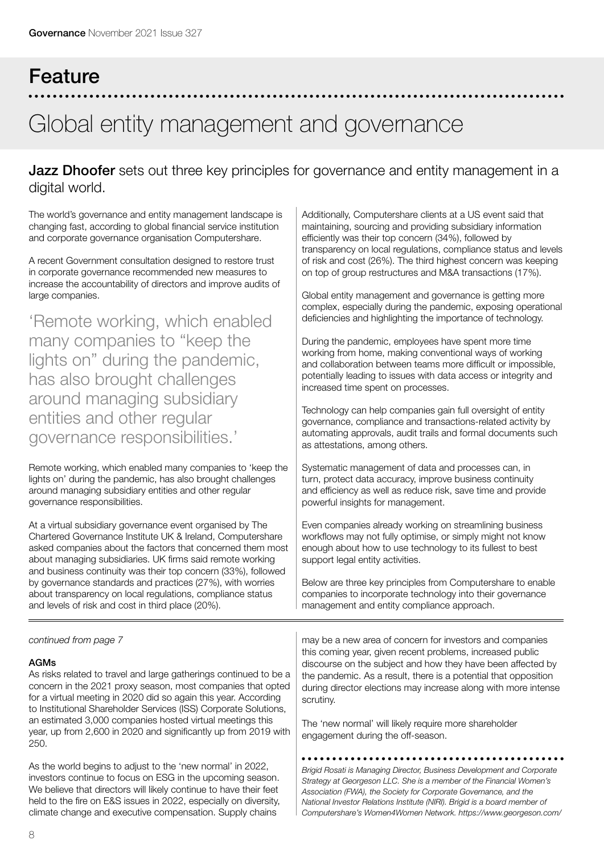# Feature Global entity management and governance

### **Jazz Dhoofer** sets out three key principles for governance and entity management in a digital world.

The world's governance and entity management landscape is changing fast, according to global financial service institution and corporate governance organisation Computershare.

A recent Government consultation designed to restore trust in corporate governance recommended new measures to increase the accountability of directors and improve audits of large companies.

'Remote working, which enabled many companies to "keep the lights on" during the pandemic, has also brought challenges around managing subsidiary entities and other regular governance responsibilities.'

Remote working, which enabled many companies to 'keep the lights on' during the pandemic, has also brought challenges around managing subsidiary entities and other regular governance responsibilities.

At a virtual subsidiary governance event organised by The Chartered Governance Institute UK & Ireland, Computershare asked companies about the factors that concerned them most about managing subsidiaries. UK firms said remote working and business continuity was their top concern (33%), followed by governance standards and practices (27%), with worries about transparency on local regulations, compliance status and levels of risk and cost in third place (20%).

*continued from page 7*

### AGMs

As risks related to travel and large gatherings continued to be a concern in the 2021 proxy season, most companies that opted for a virtual meeting in 2020 did so again this year. According to Institutional Shareholder Services (ISS) Corporate Solutions, an estimated 3,000 companies hosted virtual meetings this year, up from 2,600 in 2020 and significantly up from 2019 with 250.

As the world begins to adjust to the 'new normal' in 2022, investors continue to focus on ESG in the upcoming season. We believe that directors will likely continue to have their feet held to the fire on E&S issues in 2022, especially on diversity, climate change and executive compensation. Supply chains

Additionally, Computershare clients at a US event said that maintaining, sourcing and providing subsidiary information efficiently was their top concern (34%), followed by transparency on local regulations, compliance status and levels of risk and cost (26%). The third highest concern was keeping on top of group restructures and M&A transactions (17%).

Global entity management and governance is getting more complex, especially during the pandemic, exposing operational deficiencies and highlighting the importance of technology.

During the pandemic, employees have spent more time working from home, making conventional ways of working and collaboration between teams more difficult or impossible, potentially leading to issues with data access or integrity and increased time spent on processes.

Technology can help companies gain full oversight of entity governance, compliance and transactions-related activity by automating approvals, audit trails and formal documents such as attestations, among others.

Systematic management of data and processes can, in turn, protect data accuracy, improve business continuity and efficiency as well as reduce risk, save time and provide powerful insights for management.

Even companies already working on streamlining business workflows may not fully optimise, or simply might not know enough about how to use technology to its fullest to best support legal entity activities.

Below are three key principles from Computershare to enable companies to incorporate technology into their governance management and entity compliance approach.

may be a new area of concern for investors and companies this coming year, given recent problems, increased public discourse on the subject and how they have been affected by the pandemic. As a result, there is a potential that opposition during director elections may increase along with more intense scrutiny.

The 'new normal' will likely require more shareholder engagement during the off-season.

*Brigid Rosati is Managing Director, Business Development and Corporate Strategy at Georgeson LLC. She is a member of the Financial Women's Association (FWA), the Society for Corporate Governance, and the National Investor Relations Institute (NIRI). Brigid is a board member of Computershare's Women4Women Network. https://www.georgeson.com/*